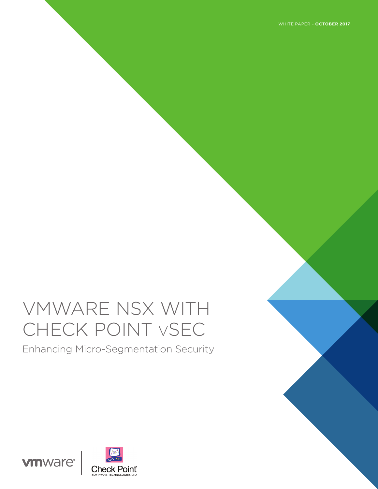WHITE PAPER – **OCTOBER 2017**

# VMWARE NSX WITH CHECK POINT vSEC

Enhancing Micro-Segmentation Security

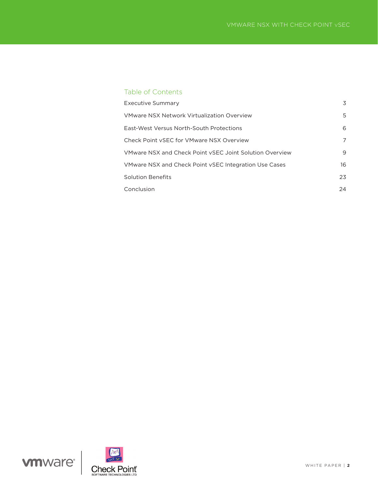# Table of Contents

| <b>Executive Summary</b>                                | 3  |
|---------------------------------------------------------|----|
| VMware NSX Network Virtualization Overview              | 5  |
| East-West Versus North-South Protections                | 6  |
| Check Point vSEC for VMware NSX Overview                | 7  |
| VMware NSX and Check Point vSEC Joint Solution Overview | 9  |
| VMware NSX and Check Point vSEC Integration Use Cases   | 16 |
| <b>Solution Benefits</b>                                | 23 |
| Conclusion                                              | 24 |



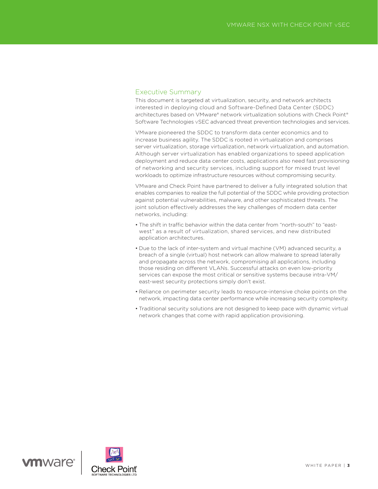## Executive Summary

This document is targeted at virtualization, security, and network architects interested in deploying cloud and Software-Defined Data Center (SDDC) architectures based on VMware® network virtualization solutions with Check Point® Software Technologies vSEC advanced threat prevention technologies and services.

VMware pioneered the SDDC to transform data center economics and to increase business agility. The SDDC is rooted in virtualization and comprises server virtualization, storage virtualization, network virtualization, and automation. Although server virtualization has enabled organizations to speed application deployment and reduce data center costs, applications also need fast provisioning of networking and security services, including support for mixed trust level workloads to optimize infrastructure resources without compromising security.

VMware and Check Point have partnered to deliver a fully integrated solution that enables companies to realize the full potential of the SDDC while providing protection against potential vulnerabilities, malware, and other sophisticated threats. The joint solution effectively addresses the key challenges of modern data center networks, including:

- The shift in traffic behavior within the data center from "north-south" to "eastwest" as a result of virtualization, shared services, and new distributed application architectures.
- Due to the lack of inter-system and virtual machine (VM) advanced security, a breach of a single (virtual) host network can allow malware to spread laterally and propagate across the network, compromising all applications, including those residing on different VLANs. Successful attacks on even low-priority services can expose the most critical or sensitive systems because intra-VM/ east-west security protections simply don't exist.
- Reliance on perimeter security leads to resource-intensive choke points on the network, impacting data center performance while increasing security complexity.
- Traditional security solutions are not designed to keep pace with dynamic virtual network changes that come with rapid application provisioning.

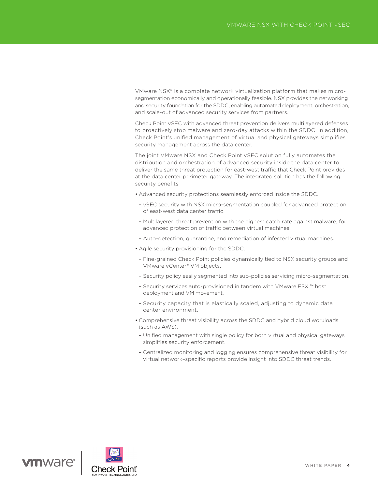VMware NSX® is a complete network virtualization platform that makes microsegmentation economically and operationally feasible. NSX provides the networking and security foundation for the SDDC, enabling automated deployment, orchestration, and scale-out of advanced security services from partners.

Check Point vSEC with advanced threat prevention delivers multilayered defenses to proactively stop malware and zero-day attacks within the SDDC. In addition, Check Point's unified management of virtual and physical gateways simplifies security management across the data center.

The joint VMware NSX and Check Point vSEC solution fully automates the distribution and orchestration of advanced security inside the data center to deliver the same threat protection for east-west traffic that Check Point provides at the data center perimeter gateway. The integrated solution has the following security benefits:

- Advanced security protections seamlessly enforced inside the SDDC.
- vSEC security with NSX micro-segmentation coupled for advanced protection of east-west data center traffic.
- Multilayered threat prevention with the highest catch rate against malware, for advanced protection of traffic between virtual machines.
- Auto-detection, quarantine, and remediation of infected virtual machines.
- Agile security provisioning for the SDDC.
- Fine-grained Check Point policies dynamically tied to NSX security groups and VMware vCenter® VM objects.
- Security policy easily segmented into sub-policies servicing micro-segmentation.
- Security services auto-provisioned in tandem with VMware ESXi™ host deployment and VM movement.
- Security capacity that is elastically scaled, adjusting to dynamic data center environment.
- Comprehensive threat visibility across the SDDC and hybrid cloud workloads (such as AWS).
- Unified management with single policy for both virtual and physical gateways simplifies security enforcement.
- Centralized monitoring and logging ensures comprehensive threat visibility for virtual network–specific reports provide insight into SDDC threat trends.



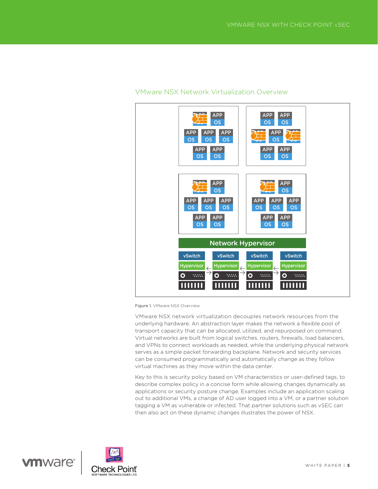

# VMware NSX Network Virtualization Overview

Figure 1. VMware NSX Overview

VMware NSX network virtualization decouples network resources from the underlying hardware. An abstraction layer makes the network a flexible pool of transport capacity that can be allocated, utilized, and repurposed on command. Virtual networks are built from logical switches, routers, firewalls, load balancers, and VPNs to connect workloads as needed, while the underlying physical network serves as a simple packet forwarding backplane. Network and security services can be consumed programmatically and automatically change as they follow virtual machines as they move within the data center.

Key to this is security policy based on VM characteristics or user-defined tags, to describe complex policy in a concise form while allowing changes dynamically as applications or security posture change. Examples include an application scaling out to additional VMs, a change of AD user logged into a VM, or a partner solution tagging a VM as vulnerable or infected. That partner solutions such as vSEC can then also act on these dynamic changes illustrates the power of NSX.

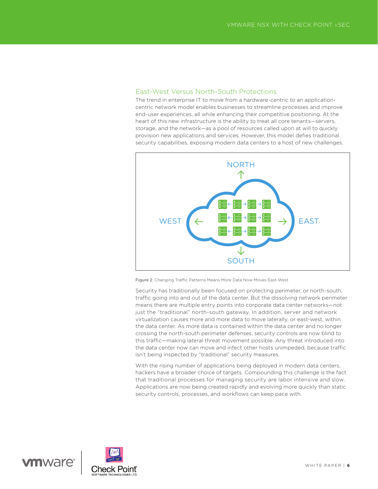## East-West Versus North-South Protections

The trend in enterprise IT to move from a hardware-centric to an applicationcentric network model enables businesses to streamline processes and improve end-user experiences, all while enhancing their competitive positioning. At the heart of this new infrastructure is the ability to treat all core tenants—servers, storage, and the network—as a pool of resources called upon at will to quickly provision new applications and services. However, this model defies traditional security capabilities, exposing modern data centers to a host of new challenges.



Figure 2. Changing Traffic Patterns Means More Data Now Moves East-West

water of the control of the control of the security has traditionally been focused on protecting perimeter, or north-south,  $\overline{\phantom{a}}$ traffic going into and out of the data center. But the dissolving network perimeter means there are multiple entry points into corporate data center networks—not just the "traditional" north-south gateway. In addition, server and network virtualization causes more and more data to move laterally, or east-west, within the data center. As more data is contained within the data center and no longer crossing the north-south perimeter defenses, security controls are now blind to this traffic—making lateral threat movement possible. Any threat introduced into the data center now can move and infect other hosts unimpeded, because traffic isn't being inspected by "traditional" security measures.

With the rising number of applications being deployed in modern data centers, hackers have a broader choice of targets. Compounding this challenge is the fact that traditional processes for managing security are labor intensive and slow. Applications are now being created rapidly and evolving more quickly than static security controls, processes, and workflows can keep pace with.

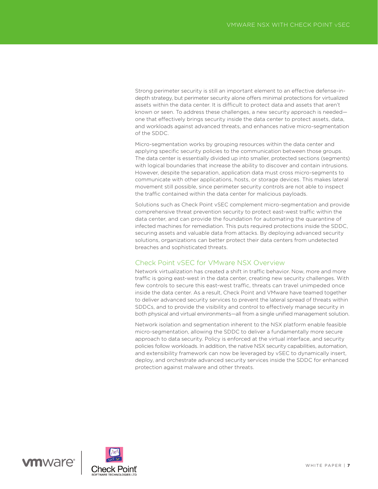Strong perimeter security is still an important element to an effective defense-indepth strategy, but perimeter security alone offers minimal protections for virtualized assets within the data center. It is difficult to protect data and assets that aren't known or seen. To address these challenges, a new security approach is needed one that effectively brings security inside the data center to protect assets, data, and workloads against advanced threats, and enhances native micro-segmentation of the SDDC.

Micro-segmentation works by grouping resources within the data center and applying specific security policies to the communication between those groups. The data center is essentially divided up into smaller, protected sections (segments) with logical boundaries that increase the ability to discover and contain intrusions. However, despite the separation, application data must cross micro-segments to communicate with other applications, hosts, or storage devices. This makes lateral movement still possible, since perimeter security controls are not able to inspect the traffic contained within the data center for malicious payloads.

Solutions such as Check Point vSEC complement micro-segmentation and provide comprehensive threat prevention security to protect east-west traffic within the data center, and can provide the foundation for automating the quarantine of infected machines for remediation. This puts required protections inside the SDDC, securing assets and valuable data from attacks. By deploying advanced security solutions, organizations can better protect their data centers from undetected breaches and sophisticated threats.

## Check Point vSEC for VMware NSX Overview

Network virtualization has created a shift in traffic behavior. Now, more and more traffic is going east-west in the data center, creating new security challenges. With few controls to secure this east-west traffic, threats can travel unimpeded once inside the data center. As a result, Check Point and VMware have teamed together to deliver advanced security services to prevent the lateral spread of threats within SDDCs, and to provide the visibility and control to effectively manage security in both physical and virtual environments—all from a single unified management solution.

Network isolation and segmentation inherent to the NSX platform enable feasible micro-segmentation, allowing the SDDC to deliver a fundamentally more secure approach to data security. Policy is enforced at the virtual interface, and security policies follow workloads. In addition, the native NSX security capabilities, automation, and extensibility framework can now be leveraged by vSEC to dynamically insert, deploy, and orchestrate advanced security services inside the SDDC for enhanced protection against malware and other threats.

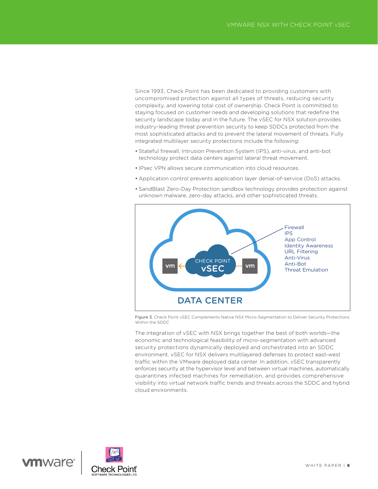Since 1993, Check Point has been dedicated to providing customers with uncompromised protection against all types of threats, reducing security complexity, and lowering total cost of ownership. Check Point is committed to staying focused on customer needs and developing solutions that redefine the security landscape today and in the future. The vSEC for NSX solution provides industry-leading threat prevention security to keep SDDCs protected from the most sophisticated attacks and to prevent the lateral movement of threats. Fully integrated multilayer security protections include the following:

- Stateful firewall, Intrusion Prevention System (IPS), anti-virus, and anti-bot technology protect data centers against lateral threat movement.
- IPsec VPN allows secure communication into cloud resources.
- Application control prevents application layer denial-of-service (DoS) attacks.
- SandBlast Zero-Day Protection sandbox technology provides protection against unknown malware, zero-day attacks, and other sophisticated threats.



Figure 3. Check Point vSEC Complements Native NSX Micro-Segmentation to Deliver Security Protections Within the SDDC

The integration of vSEC with NSX brings together the best of both worlds—the economic and technological feasibility of micro-segmentation with advanced security protections dynamically deployed and orchestrated into an SDDC environment. vSEC for NSX delivers multilayered defenses to protect east-west traffic within the VMware deployed data center. In addition, vSEC transparently enforces security at the hypervisor level and between virtual machines, automatically quarantines infected machines for remediation, and provides comprehensive visibility into virtual network traffic trends and threats across the SDDC and hybrid cloud environments.

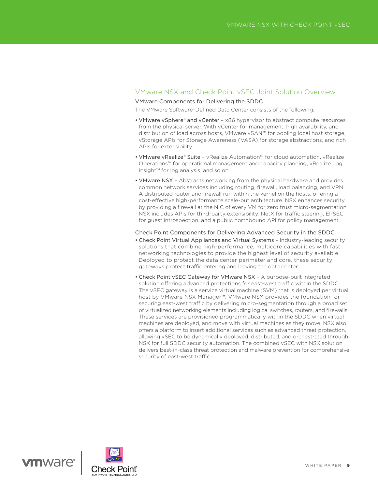## VMware NSX and Check Point vSEC Joint Solution Overview

## VMware Components for Delivering the SDDC

The VMware Software-Defined Data Center consists of the following:

- VMware vSphere® and vCenter x86 hypervisor to abstract compute resources from the physical server. With vCenter for management, high availability, and distribution of load across hosts, VMware vSAN™ for pooling local host storage, vStorage APIs for Storage Awareness (VASA) for storage abstractions, and rich APIs for extensibility.
- VMware vRealize® Suite vRealize Automation™ for cloud automation, vRealize Operations™ for operational management and capacity planning, vRealize Log Insight™ for log analysis, and so on.
- VMware NSX Abstracts networking from the physical hardware and provides common network services including routing, firewall, load balancing, and VPN. A distributed router and firewall run within the kernel on the hosts, offering a cost-effective high-performance scale-out architecture. NSX enhances security by providing a firewall at the NIC of every VM for zero trust micro-segmentation. NSX includes APIs for third-party extensibility: NetX for traffic steering, EPSEC for guest introspection, and a public northbound API for policy management.

#### Check Point Components for Delivering Advanced Security in the SDDC

- Check Point Virtual Appliances and Virtual Systems Industry-leading security solutions that combine high-performance, multicore capabilities with fast networking technologies to provide the highest level of security available. Deployed to protect the data center perimeter and core, these security gateways protect traffic entering and leaving the data center.
- Check Point vSEC Gateway for VMware NSX A purpose-built integrated solution offering advanced protections for east-west traffic within the SDDC. The vSEC gateway is a service virtual machine (SVM) that is deployed per virtual host by VMware NSX Manager™. VMware NSX provides the foundation for securing east-west traffic by delivering micro-segmentation through a broad set of virtualized networking elements including logical switches, routers, and firewalls. These services are provisioned programmatically within the SDDC when virtual machines are deployed, and move with virtual machines as they move. NSX also offers a platform to insert additional services such as advanced threat protection, allowing vSEC to be dynamically deployed, distributed, and orchestrated through NSX for full SDDC security automation. The combined vSEC with NSX solution delivers best-in-class threat protection and malware prevention for comprehensive security of east-west traffic.

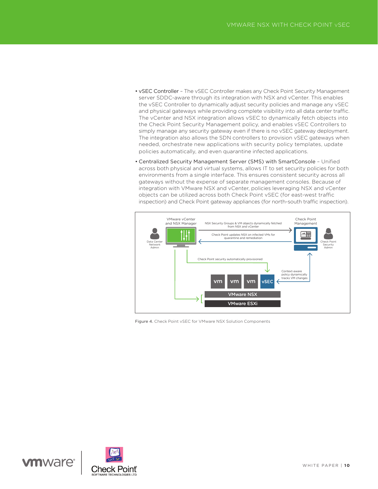- vSEC Controller The vSEC Controller makes any Check Point Security Management server SDDC-aware through its integration with NSX and vCenter. This enables the vSEC Controller to dynamically adjust security policies and manage any vSEC and physical gateways while providing complete visibility into all data center traffic. The vCenter and NSX integration allows vSEC to dynamically fetch objects into the Check Point Security Management policy, and enables vSEC Controllers to simply manage any security gateway even if there is no vSEC gateway deployment. The integration also allows the SDN controllers to provision vSEC gateways when needed, orchestrate new applications with security policy templates, update policies automatically, and even quarantine infected applications.
- Centralized Security Management Server (SMS) with SmartConsole Unified across both physical and virtual systems, allows IT to set security policies for both environments from a single interface. This ensures consistent security across all gateways without the expense of separate management consoles. Because of integration with VMware NSX and vCenter, policies leveraging NSX and vCenter objects can be utilized across both Check Point vSEC (for east-west traffic inspection) and Check Point gateway appliances (for north-south traffic inspection).



Figure 4. Check Point vSEC for VMware NSX Solution Components

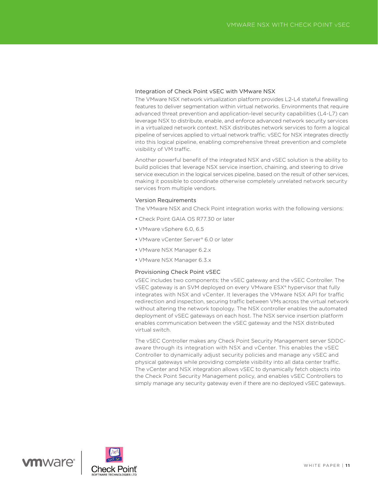#### Integration of Check Point vSEC with VMware NSX

The VMware NSX network virtualization platform provides L2-L4 stateful firewalling features to deliver segmentation within virtual networks. Environments that require advanced threat prevention and application-level security capabilities (L4-L7) can leverage NSX to distribute, enable, and enforce advanced network security services in a virtualized network context. NSX distributes network services to form a logical pipeline of services applied to virtual network traffic. vSEC for NSX integrates directly into this logical pipeline, enabling comprehensive threat prevention and complete visibility of VM traffic.

Another powerful benefit of the integrated NSX and vSEC solution is the ability to build policies that leverage NSX service insertion, chaining, and steering to drive service execution in the logical services pipeline, based on the result of other services, making it possible to coordinate otherwise completely unrelated network security services from multiple vendors.

#### Version Requirements

The VMware NSX and Check Point integration works with the following versions:

- Check Point GAIA OS R77.30 or later
- VMware vSphere 6.0, 6.5
- VMware vCenter Server® 6.0 or later
- VMware NSX Manager 6.2.x
- VMware NSX Manager 6.3.x

#### Provisioning Check Point vSEC

vSEC includes two components: the vSEC gateway and the vSEC Controller. The vSEC gateway is an SVM deployed on every VMware ESX® hypervisor that fully integrates with NSX and vCenter. It leverages the VMware NSX API for traffic redirection and inspection, securing traffic between VMs across the virtual network without altering the network topology. The NSX controller enables the automated deployment of vSEC gateways on each host. The NSX service insertion platform enables communication between the vSEC gateway and the NSX distributed virtual switch.

The vSEC Controller makes any Check Point Security Management server SDDCaware through its integration with NSX and vCenter. This enables the vSEC Controller to dynamically adjust security policies and manage any vSEC and physical gateways while providing complete visibility into all data center traffic. The vCenter and NSX integration allows vSEC to dynamically fetch objects into the Check Point Security Management policy, and enables vSEC Controllers to simply manage any security gateway even if there are no deployed vSEC gateways.

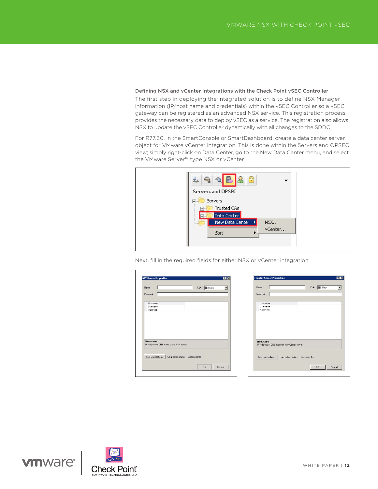Defining NSX and vCenter Integrations with the Check Point vSEC Controller The first step in deploying the integrated solution is to define NSX Manager information (IP/host name and credentials) within the vSEC Controller so a vSEC gateway can be registered as an advanced NSX service. This registration process provides the necessary data to deploy vSEC as a service. The registration also allows NSX to update the vSEC Controller dynamically with all changes to the SDDC.

For R77.30, in the SmartConsole or SmartDashboard, create a data center server object for VMware vCenter integration. This is done within the Servers and OPSEC view; simply right-click on Data Center, go to the New Data Center menu, and select the VMware Server™ type NSX or vCenter.

| <b>Servers and OPSEC</b>                                      |
|---------------------------------------------------------------|
| Servers<br>ㅋ~<br>Trusted CAs<br>Data Center<br>$\overline{+}$ |
| New Data Center →<br><b>NSX</b><br>1.1.1.1<br>vCenter<br>Sort |

Next, fill in the required fields for either NSX or vCenter integration:

|                                                             |                                 | Color: Black | ٠ |
|-------------------------------------------------------------|---------------------------------|--------------|---|
| Comment:                                                    |                                 |              |   |
|                                                             |                                 |              |   |
| Hostname                                                    |                                 |              |   |
| Username                                                    |                                 |              |   |
| Password                                                    |                                 |              |   |
|                                                             |                                 |              |   |
|                                                             |                                 |              |   |
|                                                             |                                 |              |   |
|                                                             |                                 |              |   |
|                                                             |                                 |              |   |
|                                                             |                                 |              |   |
|                                                             |                                 |              |   |
|                                                             |                                 |              |   |
| <b>Hostname</b><br>IP Address or DNS name of the NSX server |                                 |              |   |
|                                                             |                                 |              |   |
|                                                             |                                 |              |   |
| Test Connection                                             | Connection status: Disconnected |              |   |

|                      | Iī |                                                   | Color: Black |  |
|----------------------|----|---------------------------------------------------|--------------|--|
| Comment:             |    |                                                   |              |  |
|                      |    |                                                   |              |  |
| Hostname<br>Username |    |                                                   |              |  |
| Password             |    |                                                   |              |  |
|                      |    |                                                   |              |  |
|                      |    |                                                   |              |  |
|                      |    |                                                   |              |  |
|                      |    |                                                   |              |  |
|                      |    |                                                   |              |  |
|                      |    |                                                   |              |  |
| <b>Hostname</b>      |    |                                                   |              |  |
|                      |    | IP Address or DNS name of the vCenter server      |              |  |
|                      |    |                                                   |              |  |
|                      |    | Test Connection   Connection status: Disconnected |              |  |

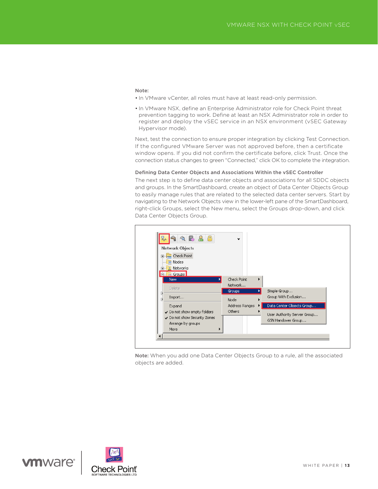#### Note:

- In VMware vCenter, all roles must have at least read-only permission.
- In VMware NSX, define an Enterprise Administrator role for Check Point threat prevention tagging to work. Define at least an NSX Administrator role in order to register and deploy the vSEC service in an NSX environment (vSEC Gateway Hypervisor mode).

Next, test the connection to ensure proper integration by clicking Test Connection. If the configured VMware Server was not approved before, then a certificate window opens. If you did not confirm the certificate before, click Trust. Once the connection status changes to green "Connected," click OK to complete the integration.

#### Defining Data Center Objects and Associations Within the vSEC Controller

The next step is to define data center objects and associations for all SDDC objects and groups. In the SmartDashboard, create an object of Data Center Objects Group to easily manage rules that are related to the selected data center servers. Start by navigating to the Network Objects view in the lower-left pane of the SmartDashboard, right-click Groups, select the New menu, select the Groups drop-down, and click Data Center Objects Group.



Note: When you add one Data Center Objects Group to a rule, all the associated objects are added.

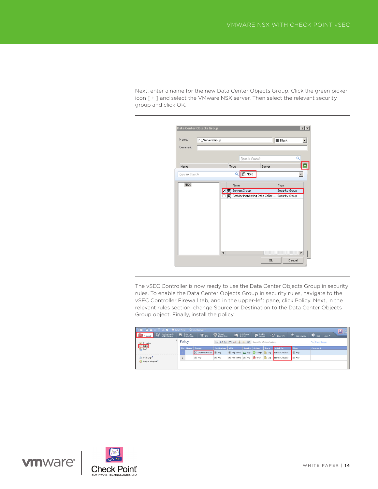Next, enter a name for the new Data Center Objects Group. Click the green picker icon [ + ] and select the VMware NSX server. Then select the relevant security group and click OK.



The vSEC Controller is now ready to use the Data Center Objects Group in security rules. To enable the Data Center Objects Group in security rules, navigate to the vSEC Controller Firewall tab, and in the upper-left pane, click Policy. Next, in the relevant rules section, change Source or Destination to the Data Center Objects Group object. Finally, install the policy.

| <b>IE BEC日×5 O Install Policy C SmartConsole</b>                                |        |                                       |                 |                                                           |                      |                                                            |             | $\Box$ Sm      |
|---------------------------------------------------------------------------------|--------|---------------------------------------|-----------------|-----------------------------------------------------------|----------------------|------------------------------------------------------------|-------------|----------------|
| <b>Deta</b> Application & <b>Detail of Detail Containers</b><br><b>Firewall</b> |        | $\blacksquare$                        |                 | <b>D</b> Inrest <b>In Anti-Spam 1 Mobile - P PSec VPN</b> |                      |                                                            | Compliance  | O Qos More     |
|                                                                                 | Policy |                                       |                 | 田田島田 < 中央 BB Search for IP, object, action                |                      |                                                            |             | Q Query Syntax |
| <b>4</b> Overview<br><b>11 Policy</b><br><b>144 T</b>                           |        | No. Name Source                       | Destination VPN |                                                           | Service Action Track | Install On                                                 | <b>Time</b> | <b>Comment</b> |
|                                                                                 |        | <b>BE</b> CPServersGroup <b>R</b> Any |                 |                                                           |                      | R Any Traffic TO http @ accept B Log CO vSEC-Cluster       | E Any       |                |
| R. Track Logs                                                                   |        | R Any                                 | <b>B</b> Any    |                                                           |                      | E Any Traffic E Any @ drop   Log   20 vSEC-Cluster   E Any |             |                |
| Analyze & Report                                                                |        |                                       |                 |                                                           |                      |                                                            |             |                |
|                                                                                 |        |                                       |                 |                                                           |                      |                                                            |             |                |

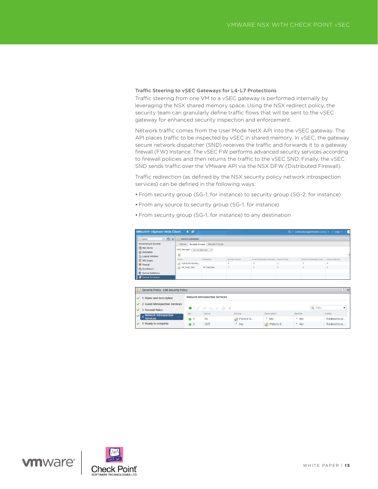#### Traffic Steering to vSEC Gateways for L4-L7 Protections

Traffic steering from one VM to a vSEC gateway is performed internally by leveraging the NSX shared memory space. Using the NSX redirect policy, the security team can granularly define traffic flows that will be sent to the vSEC gateway for enhanced security inspection and enforcement.

Network traffic comes from the User Mode NetX API into the vSEC gateway. The API places traffic to be inspected by vSEC in shared memory. In vSEC, the gateway secure network dispatcher (SND) receives the traffic and forwards it to a gateway firewall (FW) Instance. The vSEC FW performs advanced security services according to firewall policies and then returns the traffic to the vSEC SND. Finally, the vSEC SND sends traffic over the VMware API via the NSX DFW (Distributed Firewall).

Traffic redirection (as defined by the NSX security policy network introspection services) can be defined in the following ways:

- From security group (SG-1, for instance) to security group (SG-2, for instance)
- From any source to security group (SG-1, for instance)
- From security group (SG-1, for instance) to any destination

| $\rightarrow$ 0<br>4 Home                                      | <b>I</b> F Service Composer      |                               |                   |                                             |  |                                             |  |  |  |
|----------------------------------------------------------------|----------------------------------|-------------------------------|-------------------|---------------------------------------------|--|---------------------------------------------|--|--|--|
| <b>Networking &amp; Security</b>                               | Canvas<br><b>Security Groups</b> | Security Policies             |                   |                                             |  |                                             |  |  |  |
| NSX Home<br><b>See Installation</b><br><b>Logical Switches</b> | 睂                                | NSX Manager: 10.114.220.141 - |                   |                                             |  |                                             |  |  |  |
| INSX Edges                                                     | Name                             | Description                   | Security Policies | Guest Introspection Services Firewall Rules |  | Network Introspection Serv Virtual Machines |  |  |  |
| Firewall                                                       | <b>Activity Monitoring</b>       |                               |                   |                                             |  | ö                                           |  |  |  |
| SpoofGuard                                                     | All_Test_VMs                     | All Test VMs.                 |                   |                                             |  |                                             |  |  |  |

| Security Policy - Edit Security Policy  |             |                                                      |            |             |          | $(?)$ $\nparallel$ |
|-----------------------------------------|-------------|------------------------------------------------------|------------|-------------|----------|--------------------|
| $\vee$ 1 Name and description           |             | <b>Network Introspection Services</b>                |            |             |          |                    |
| <b>√</b> 2 Guest Introspection Services |             |                                                      |            |             |          |                    |
| $\vee$ 3 Firewall Rules                 |             | $+$ / $\Rightarrow$ $\Rightarrow$ $\lor$ $\oslash$ x |            |             | Q Filter |                    |
| <b>Network Introspection</b>            | No.         | Name                                                 | Source     | Destination | Service  | Action             |
| <b>Services</b>                         | $\bullet$ 1 | IN                                                   | Policy's S | * Any       | * Any    | Redirect to ys     |
| $\checkmark$ 5 Ready to complete        | $2^2$       | OUT                                                  | * Any      | Policy's S  | * Any    | Redirect to ys     |



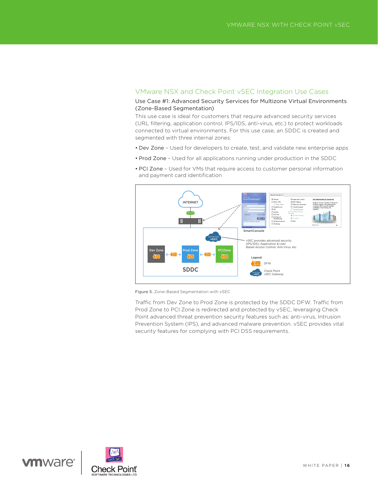# VMware NSX and Check Point vSEC Integration Use Cases

### Use Case #1: Advanced Security Services for Multizone Virtual Environments (Zone-Based Segmentation)

This use case is ideal for customers that require advanced security services (URL filtering, application control, IPS/IDS, anti-virus, etc.) to protect workloads connected to virtual environments. For this use case, an SDDC is created and segmented with three internal zones:

- Dev Zone Used for developers to create, test, and validate new enterprise apps
- Prod Zone Used for all applications running under production in the SDDC



• PCI Zone – Used for VMs that require access to customer personal information and payment card identification

Figure 5. Zone-Based Segmentation with vSEC

Traffic from Dev Zone to Prod Zone is protected by the SDDC DFW. Traffic from Prod Zone to PCI Zone is redirected and protected by vSEC, leveraging Check Point advanced threat prevention security features such as: anti-virus, Intrusion Prevention System (IPS), and advanced malware prevention. vSEC provides vital security features for complying with PCI DSS requirements.

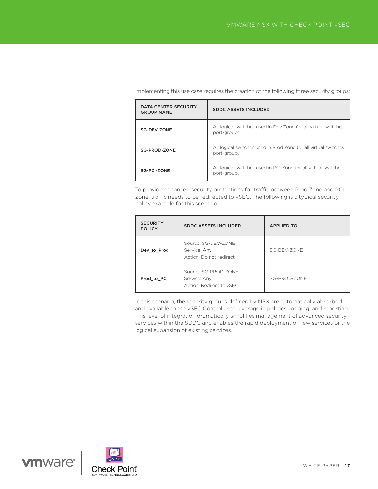| DATA CENTER SECURITY<br><b>GROUP NAME</b> | <b>SDDC ASSETS INCLUDED</b>                                                    |
|-------------------------------------------|--------------------------------------------------------------------------------|
| SG-DEV-ZONE                               | All logical switches used in Dev Zone (or all virtual switches<br>port-group)  |
| SG-PROD-ZONE                              | All logical switches used in Prod Zone (or all virtual switches<br>port-group) |
| SG-PCI-ZONE                               | All logical switches used in PCI Zone (or all virtual switches<br>port-group)  |

Implementing this use case requires the creation of the following three security groups:

To provide enhanced security protections for traffic between Prod Zone and PCI Zone, traffic needs to be redirected to vSEC. The following is a typical security policy example for this scenario:

| <b>SECURITY</b><br><b>POLICY</b> | <b>SDDC ASSETS INCLUDED</b>                                      | <b>APPLIED TO</b> |
|----------------------------------|------------------------------------------------------------------|-------------------|
| Dev_to_Prod                      | Source: SG-DEV-ZONE<br>Service: Any<br>Action: Do not redirect   | SG-DFV-70NF       |
| Prod to PCI                      | Source: SG-PROD-ZONE<br>Service: Any<br>Action: Redirect to vSEC | SG-PROD-ZONE      |

In this scenario, the security groups defined by NSX are automatically absorbed and available to the vSEC Controller to leverage in policies, logging, and reporting. This level of integration dramatically simplifies management of advanced security services within the SDDC and enables the rapid deployment of new services or the logical expansion of existing services.

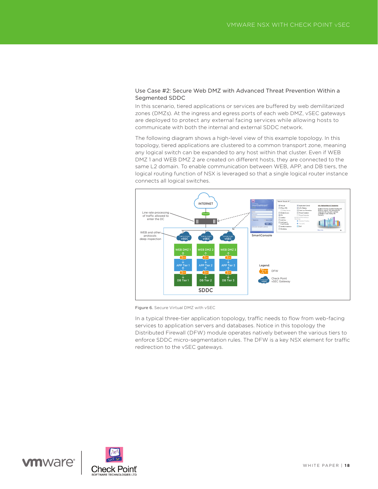## Use Case #2: Secure Web DMZ with Advanced Threat Prevention Within a Segmented SDDC

In this scenario, tiered applications or services are buffered by web demilitarized zones (DMZs). At the ingress and egress ports of each web DMZ, vSEC gateways are deployed to protect any external facing services while allowing hosts to communicate with both the internal and external SDDC network.

The following diagram shows a high-level view of this example topology. In this topology, tiered applications are clustered to a common transport zone, meaning any logical switch can be expanded to any host within that cluster. Even if WEB DMZ 1 and WEB DMZ 2 are created on different hosts, they are connected to the same L2 domain. To enable communication between WEB, APP, and DB tiers, the logical routing function of NSX is leveraged so that a single logical router instance connects all logical switches.



Figure 6. Secure Virtual DMZ with vSEC

In a typical three-tier application topology, traffic needs to flow from web-facing services to application servers and databases. Notice in this topology the Distributed Firewall (DFW) module operates natively between the various tiers to enforce SDDC micro-segmentation rules. The DFW is a key NSX element for traffic redirection to the vSEC gateways.

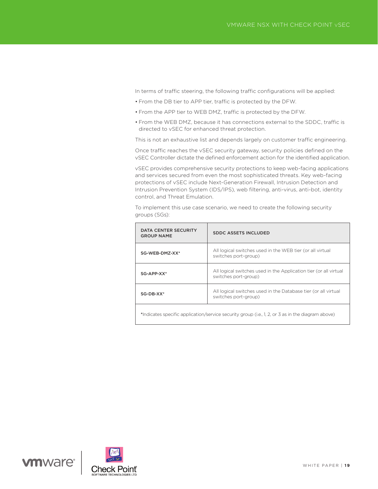In terms of traffic steering, the following traffic configurations will be applied:

- From the DB tier to APP tier, traffic is protected by the DFW.
- From the APP tier to WEB DMZ, traffic is protected by the DFW.
- From the WEB DMZ, because it has connections external to the SDDC, traffic is directed to vSEC for enhanced threat protection.

This is not an exhaustive list and depends largely on customer traffic engineering.

Once traffic reaches the vSEC security gateway, security policies defined on the vSEC Controller dictate the defined enforcement action for the identified application.

vSEC provides comprehensive security protections to keep web-facing applications and services secured from even the most sophisticated threats. Key web-facing protections of vSEC include Next-Generation Firewall, Intrusion Detection and Intrusion Prevention System (IDS/IPS), web filtering, anti-virus, anti-bot, identity control, and Threat Emulation.

To implement this use case scenario, we need to create the following security groups (SGs):

| DATA CENTER SECURITY<br><b>GROUP NAME</b>                                                         | <b>SDDC ASSETS INCLUDED</b>                                                               |  |  |  |  |  |
|---------------------------------------------------------------------------------------------------|-------------------------------------------------------------------------------------------|--|--|--|--|--|
| SG-WEB-DMZ-XX*                                                                                    | All logical switches used in the WEB tier (or all virtual<br>switches port-group)         |  |  |  |  |  |
| SG-APP-XX*                                                                                        | All logical switches used in the Application tier (or all virtual<br>switches port-group) |  |  |  |  |  |
| $SG-DB-XX*$                                                                                       | All logical switches used in the Database tier (or all virtual<br>switches port-group)    |  |  |  |  |  |
| *Indicates specific application/service security group (i.e., 1, 2, or 3 as in the diagram above) |                                                                                           |  |  |  |  |  |



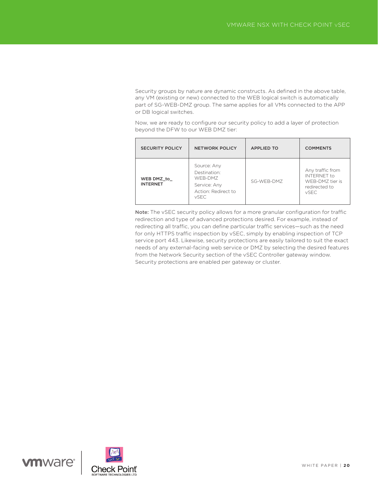Security groups by nature are dynamic constructs. As defined in the above table, any VM (existing or new) connected to the WEB logical switch is automatically part of SG-WEB-DMZ group. The same applies for all VMs connected to the APP or DB logical switches.

Now, we are ready to configure our security policy to add a layer of protection beyond the DFW to our WEB DMZ tier:

| <b>SECURITY POLICY</b>        | <b>NETWORK POLICY</b>                                                                        | <b>APPLIED TO</b> | <b>COMMENTS</b>                                                                           |
|-------------------------------|----------------------------------------------------------------------------------------------|-------------------|-------------------------------------------------------------------------------------------|
| WEB DMZ to<br><b>INTERNET</b> | Source: Any<br>Destination:<br>WFB-DMZ<br>Service: Any<br>Action: Redirect to<br><b>vSEC</b> | SG-WFB-DMZ        | Any traffic from<br><b>INTERNET</b> to<br>WFB-DM7 tier is<br>redirected to<br><b>vSEC</b> |

Note: The vSEC security policy allows for a more granular configuration for traffic redirection and type of advanced protections desired. For example, instead of redirecting all traffic, you can define particular traffic services—such as the need for only HTTPS traffic inspection by vSEC, simply by enabling inspection of TCP service port 443. Likewise, security protections are easily tailored to suit the exact needs of any external-facing web service or DMZ by selecting the desired features from the Network Security section of the vSEC Controller gateway window. Security protections are enabled per gateway or cluster.

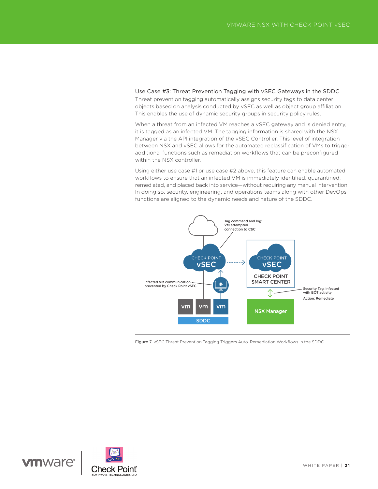Use Case #3: Threat Prevention Tagging with vSEC Gateways in the SDDC Threat prevention tagging automatically assigns security tags to data center objects based on analysis conducted by vSEC as well as object group affiliation. This enables the use of dynamic security groups in security policy rules.

When a threat from an infected VM reaches a vSEC gateway and is denied entry, it is tagged as an infected VM. The tagging information is shared with the NSX Manager via the API integration of the vSEC Controller. This level of integration between NSX and vSEC allows for the automated reclassification of VMs to trigger additional functions such as remediation workflows that can be preconfigured within the NSX controller.

Using either use case #1 or use case #2 above, this feature can enable automated workflows to ensure that an infected VM is immediately identified, quarantined, remediated, and placed back into service—without requiring any manual intervention. In doing so, security, engineering, and operations teams along with other DevOps functions are aligned to the dynamic needs and nature of the SDDC.



Figure 7. vSEC Threat Prevention Tagging Triggers Auto-Remediation Workflows in the SDDC

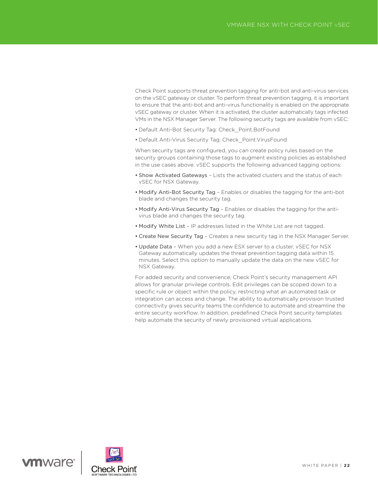Check Point supports threat prevention tagging for anti-bot and anti-virus services on the vSEC gateway or cluster. To perform threat prevention tagging, it is important to ensure that the anti-bot and anti-virus functionality is enabled on the appropriate vSEC gateway or cluster. When it is activated, the cluster automatically tags infected VMs in the NSX Manager Server. The following security tags are available from vSEC:

- Default Anti-Bot Security Tag: Check\_Point.BotFound
- Default Anti-Virus Security Tag: Check\_Point.VirusFound

When security tags are configured, you can create policy rules based on the security groups containing those tags to augment existing policies as established in the use cases above. vSEC supports the following advanced tagging options:

- Show Activated Gateways Lists the activated clusters and the status of each vSEC for NSX Gateway.
- Modify Anti-Bot Security Tag Enables or disables the tagging for the anti-bot blade and changes the security tag.
- Modify Anti-Virus Security Tag Enables or disables the tagging for the antivirus blade and changes the security tag.
- Modify White List IP addresses listed in the White List are not tagged.
- Create New Security Tag Creates a new security tag in the NSX Manager Server.
- Update Data When you add a new ESX server to a cluster, vSEC for NSX Gateway automatically updates the threat prevention tagging data within 15 minutes. Select this option to manually update the data on the new vSEC for NSX Gateway.

For added security and convenience, Check Point's security management API allows for granular privilege controls. Edit privileges can be scoped down to a specific rule or object within the policy, restricting what an automated task or integration can access and change. The ability to automatically provision trusted connectivity gives security teams the confidence to automate and streamline the entire security workflow. In addition, predefined Check Point security templates help automate the security of newly provisioned virtual applications.

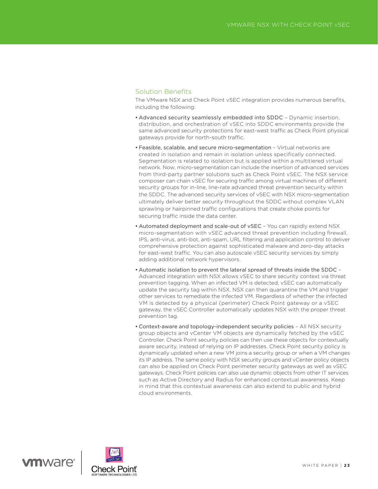## Solution Benefits

The VMware NSX and Check Point vSEC integration provides numerous benefits, including the following:

- Advanced security seamlessly embedded into SDDC Dynamic insertion, distribution, and orchestration of vSEC into SDDC environments provide the same advanced security protections for east-west traffic as Check Point physical gateways provide for north-south traffic.
- Feasible, scalable, and secure micro-segmentation Virtual networks are created in isolation and remain in isolation unless specifically connected. Segmentation is related to isolation but is applied within a multitiered virtual network. Now, micro-segmentation can include the insertion of advanced services from third-party partner solutions such as Check Point vSEC. The NSX service composer can chain vSEC for securing traffic among virtual machines of different security groups for in-line, line-rate advanced threat prevention security within the SDDC. The advanced security services of vSEC with NSX micro-segmentation ultimately deliver better security throughout the SDDC without complex VLAN sprawling or hairpinned traffic configurations that create choke points for securing traffic inside the data center.
- Automated deployment and scale-out of vSEC You can rapidly extend NSX micro-segmentation with vSEC advanced threat prevention including firewall, IPS, anti-virus, anti-bot, anti-spam, URL filtering and application control to deliver comprehensive protection against sophisticated malware and zero-day attacks for east-west traffic. You can also autoscale vSEC security services by simply adding additional network hypervisors.
- Automatic isolation to prevent the lateral spread of threats inside the SDDC Advanced integration with NSX allows vSEC to share security context via threat prevention tagging. When an infected VM is detected, vSEC can automatically update the security tag within NSX. NSX can then quarantine the VM and trigger other services to remediate the infected VM. Regardless of whether the infected VM is detected by a physical (perimeter) Check Point gateway or a vSEC gateway, the vSEC Controller automatically updates NSX with the proper threat prevention tag.
- Context-aware and topology-independent security policies All NSX security group objects and vCenter VM objects are dynamically fetched by the vSEC Controller. Check Point security policies can then use these objects for contextually aware security, instead of relying on IP addresses. Check Point security policy is dynamically updated when a new VM joins a security group or when a VM changes its IP address. The same policy with NSX security groups and vCenter policy objects can also be applied on Check Point perimeter security gateways as well as vSEC gateways. Check Point policies can also use dynamic objects from other IT services such as Active Directory and Radius for enhanced contextual awareness. Keep in mind that this contextual awareness can also extend to public and hybrid cloud environments.

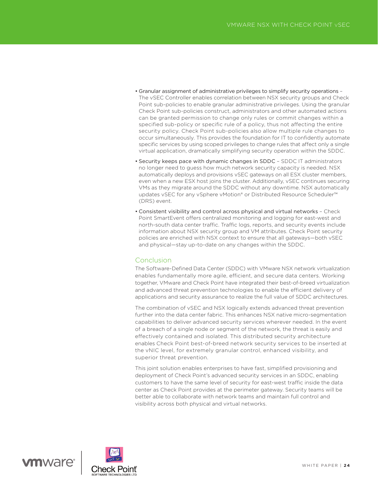- Granular assignment of administrative privileges to simplify security operations The vSEC Controller enables correlation between NSX security groups and Check Point sub-policies to enable granular administrative privileges. Using the granular Check Point sub-policies construct, administrators and other automated actions can be granted permission to change only rules or commit changes within a specified sub-policy or specific rule of a policy, thus not affecting the entire security policy. Check Point sub-policies also allow multiple rule changes to occur simultaneously. This provides the foundation for IT to confidently automate specific services by using scoped privileges to change rules that affect only a single virtual application, dramatically simplifying security operation within the SDDC.
- Security keeps pace with dynamic changes in SDDC SDDC IT administrators no longer need to guess how much network security capacity is needed. NSX automatically deploys and provisions vSEC gateways on all ESX cluster members, even when a new ESX host joins the cluster. Additionally, vSEC continues securing VMs as they migrate around the SDDC without any downtime. NSX automatically updates vSEC for any vSphere vMotion® or Distributed Resource Scheduler™ (DRS) event.
- Consistent visibility and control across physical and virtual networks Check Point SmartEvent offers centralized monitoring and logging for east-west and north-south data center traffic. Traffic logs, reports, and security events include information about NSX security group and VM attributes. Check Point security policies are enriched with NSX context to ensure that all gateways—both vSEC and physical—stay up-to-date on any changes within the SDDC.

## **Conclusion**

The Software-Defined Data Center (SDDC) with VMware NSX network virtualization enables fundamentally more agile, efficient, and secure data centers. Working together, VMware and Check Point have integrated their best-of-breed virtualization and advanced threat prevention technologies to enable the efficient delivery of applications and security assurance to realize the full value of SDDC architectures.

The combination of vSEC and NSX logically extends advanced threat prevention further into the data center fabric. This enhances NSX native micro-segmentation capabilities to deliver advanced security services wherever needed. In the event of a breach of a single node or segment of the network, the threat is easily and effectively contained and isolated. This distributed security architecture enables Check Point best-of-breed network security services to be inserted at the vNIC level, for extremely granular control, enhanced visibility, and superior threat prevention.

This joint solution enables enterprises to have fast, simplified provisioning and deployment of Check Point's advanced security services in an SDDC, enabling customers to have the same level of security for east-west traffic inside the data center as Check Point provides at the perimeter gateway. Security teams will be better able to collaborate with network teams and maintain full control and visibility across both physical and virtual networks.